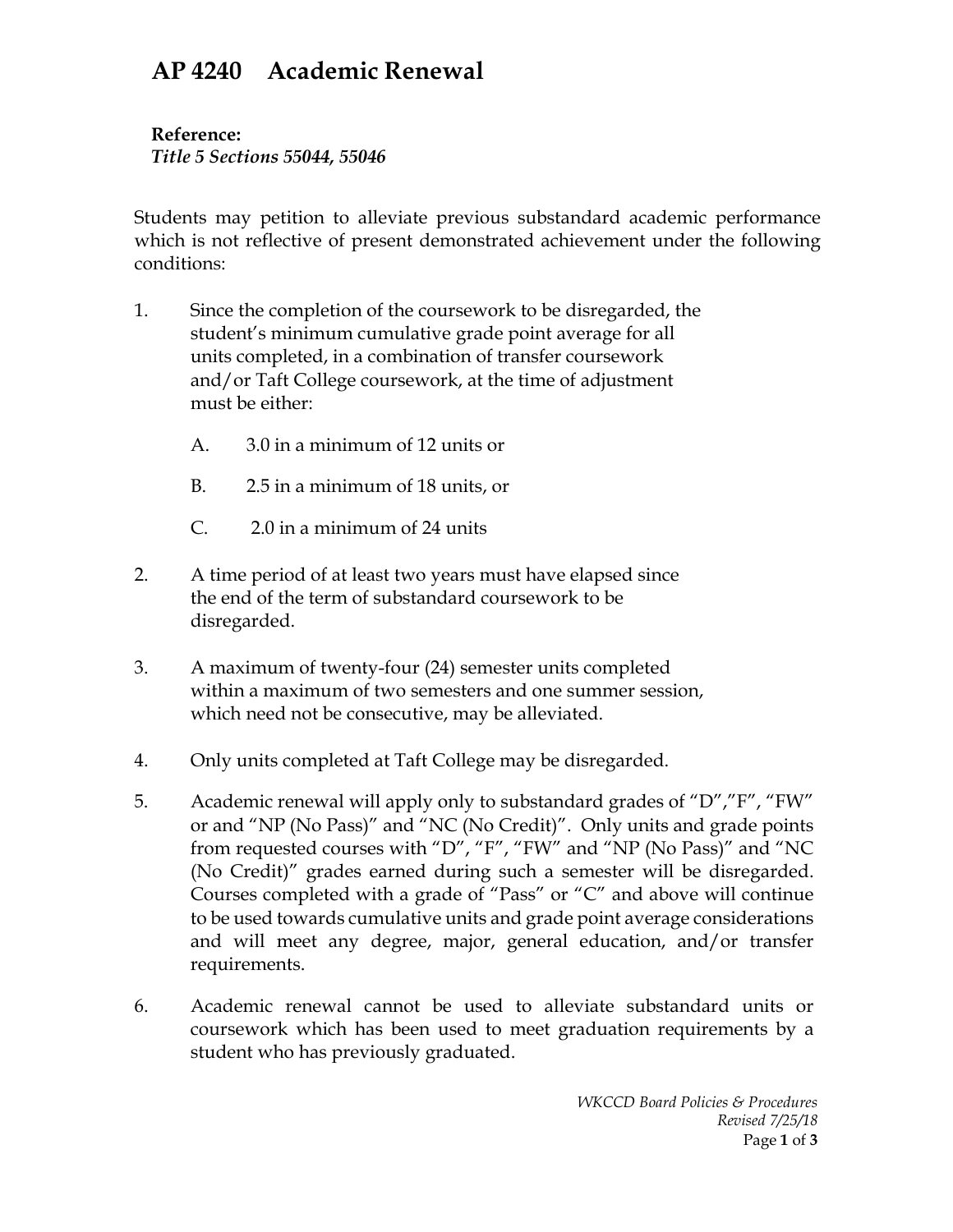## **AP 4240 Academic Renewal**

**Reference:** *Title 5 Sections 55044, 55046*

Students may petition to alleviate previous substandard academic performance which is not reflective of present demonstrated achievement under the following conditions:

- 1. Since the completion of the coursework to be disregarded, the student's minimum cumulative grade point average for all units completed, in a combination of transfer coursework and/or Taft College coursework, at the time of adjustment must be either:
	- A. 3.0 in a minimum of 12 units or
	- B. 2.5 in a minimum of 18 units, or
	- C. 2.0 in a minimum of 24 units
- 2. A time period of at least two years must have elapsed since the end of the term of substandard coursework to be disregarded.
- 3. A maximum of twenty-four (24) semester units completed within a maximum of two semesters and one summer session, which need not be consecutive, may be alleviated.
- 4. Only units completed at Taft College may be disregarded.
- 5. Academic renewal will apply only to substandard grades of "D","F", "FW" or and "NP (No Pass)" and "NC (No Credit)". Only units and grade points from requested courses with "D", "F", "FW" and "NP (No Pass)" and "NC (No Credit)" grades earned during such a semester will be disregarded. Courses completed with a grade of "Pass" or "C" and above will continue to be used towards cumulative units and grade point average considerations and will meet any degree, major, general education, and/or transfer requirements.
- 6. Academic renewal cannot be used to alleviate substandard units or coursework which has been used to meet graduation requirements by a student who has previously graduated.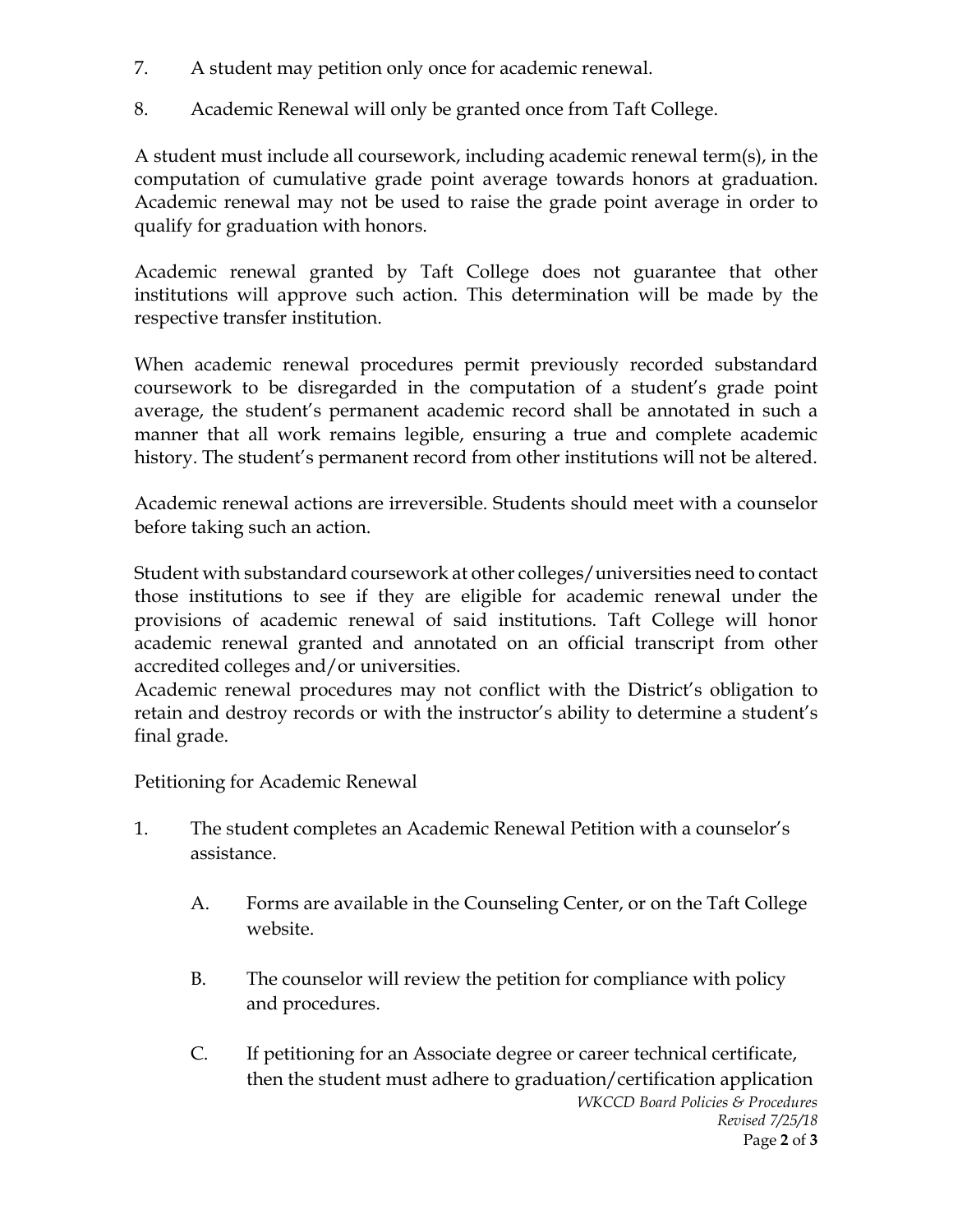- 7. A student may petition only once for academic renewal.
- 8. Academic Renewal will only be granted once from Taft College.

A student must include all coursework, including academic renewal term(s), in the computation of cumulative grade point average towards honors at graduation. Academic renewal may not be used to raise the grade point average in order to qualify for graduation with honors.

Academic renewal granted by Taft College does not guarantee that other institutions will approve such action. This determination will be made by the respective transfer institution.

When academic renewal procedures permit previously recorded substandard coursework to be disregarded in the computation of a student's grade point average, the student's permanent academic record shall be annotated in such a manner that all work remains legible, ensuring a true and complete academic history. The student's permanent record from other institutions will not be altered.

Academic renewal actions are irreversible. Students should meet with a counselor before taking such an action.

Student with substandard coursework at other colleges/universities need to contact those institutions to see if they are eligible for academic renewal under the provisions of academic renewal of said institutions. Taft College will honor academic renewal granted and annotated on an official transcript from other accredited colleges and/or universities.

Academic renewal procedures may not conflict with the District's obligation to retain and destroy records or with the instructor's ability to determine a student's final grade.

Petitioning for Academic Renewal

- 1. The student completes an Academic Renewal Petition with a counselor's assistance.
	- A. Forms are available in the Counseling Center, or on the Taft College website.
	- B. The counselor will review the petition for compliance with policy and procedures.
	- *WKCCD Board Policies & Procedures Revised 7/25/18* Page **2** of **3** C. If petitioning for an Associate degree or career technical certificate, then the student must adhere to graduation/certification application